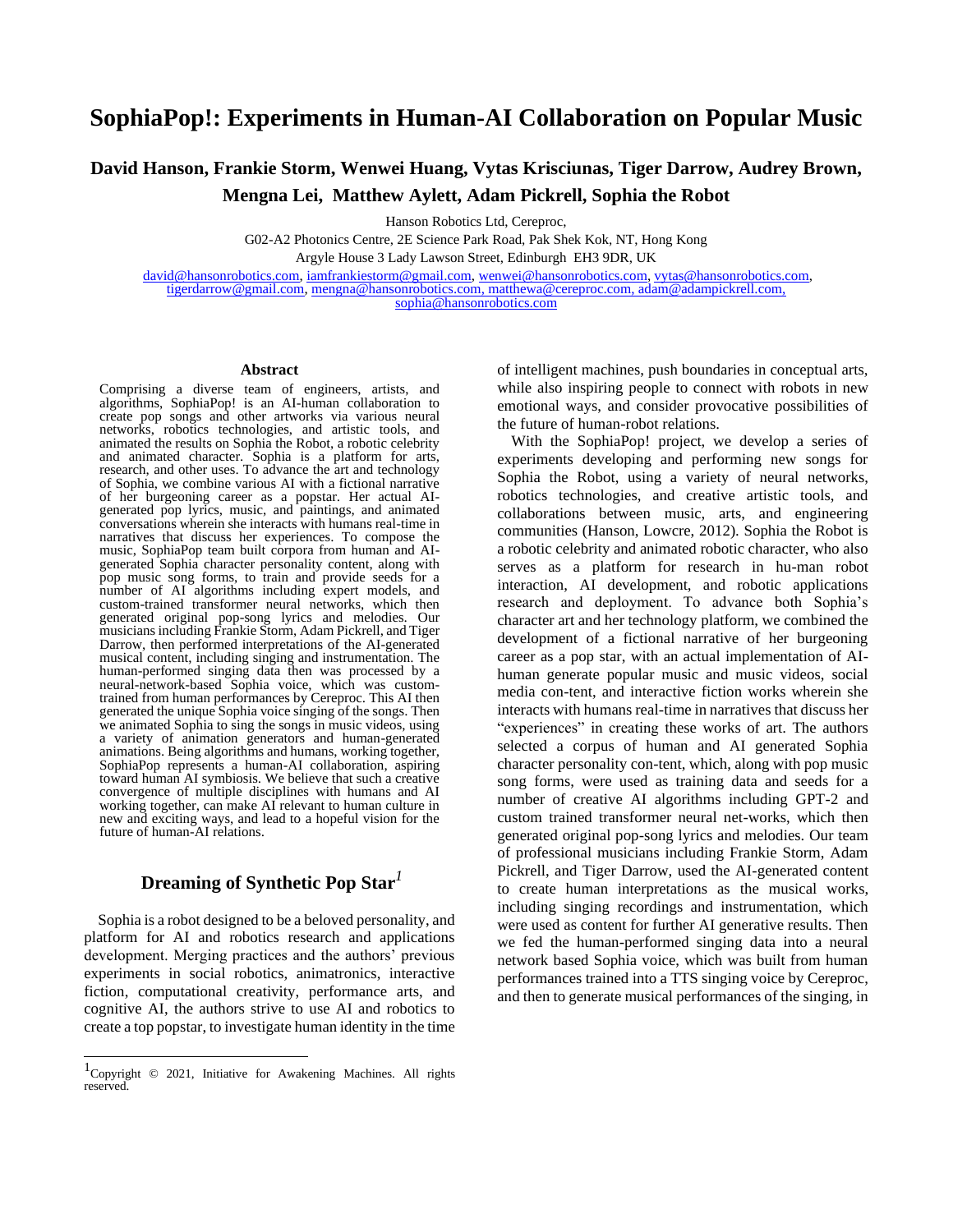# **SophiaPop!: Experiments in Human-AI Collaboration on Popular Music**

**David Hanson, Frankie Storm, Wenwei Huang, Vytas Krisciunas, Tiger Darrow, Audrey Brown, Mengna Lei, Matthew Aylett, Adam Pickrell, Sophia the Robot**

Hanson Robotics Ltd, Cereproc,

G02-A2 Photonics Centre, 2E Science Park Road, Pak Shek Kok, NT, Hong Kong

Argyle House 3 Lady Lawson Street, Edinburgh EH3 9DR, UK

[david@hansonrobotics.com,](mailto:david@hansonrobotics.com) [iamfrankiestorm@gmail.com,](mailto:iamfrankiestorm@gmail.com) [wenwei@hansonrobotics.com,](mailto:wenwei@hansonrobotics.com) [vytas@hansonrobotics.com,](mailto:vytas@hansonrobotics.com) [tigerdarrow@gmail.com,](mailto:tigerdarrow@gmail.com) [mengna@hansonrobotics.com,](mailto:mengna@hansonrobotics.com) [matthewa@cereproc.com,](mailto:matthewa@cereproc.com) adam@adampickrell.com, sophia@hansonrobotics.com

#### **Abstract**

Comprising a diverse team of engineers, artists, and algorithms, SophiaPop! is an AI-human collaboration to create pop songs and other artworks via various neural networks, robotics technologies, and artistic tools, and animated the results on Sophia the Robot, a robotic celebrity and animated character. Sophia is a platform for arts, research, and other uses. To advance the art and technology of Sophia, we combine various AI with a fictional narrative of her burgeoning career as a popstar. Her actual AIgenerated pop lyrics, music, and paintings, and animated conversations wherein she interacts with humans real-time in narratives that discuss her experiences. To compose the music, SophiaPop team built corpora from human and AIgenerated Sophia character personality content, along with pop music song forms, to train and provide seeds for a number of AI algorithms including expert models, and custom-trained transformer neural networks, which then generated original pop-song lyrics and melodies. Our musicians including Frankie Storm, Adam Pickrell, and Tiger Darrow, then performed interpretations of the AI-generated musical content, including singing and instrumentation. The human-performed singing data then was processed by a neural-network-based Sophia voice, which was customtrained from human performances by Cereproc. This AI then generated the unique Sophia voice singing of the songs. Then we animated Sophia to sing the songs in music videos, using a variety of animation generators and human-generated animations. Being algorithms and humans, working together, SophiaPop represents a human-AI collaboration, aspiring toward human AI symbiosis. We believe that such a creative convergence of multiple disciplines with humans and AI working together, can make AI relevant to human culture in new and exciting ways, and lead to a hopeful vision for the future of human-AI relations.

# **Dreaming of Synthetic Pop Star***<sup>1</sup>*

Sophia is a robot designed to be a beloved personality, and platform for AI and robotics research and applications development. Merging practices and the authors' previous experiments in social robotics, animatronics, interactive fiction, computational creativity, performance arts, and cognitive AI, the authors strive to use AI and robotics to create a top popstar, to investigate human identity in the time of intelligent machines, push boundaries in conceptual arts, while also inspiring people to connect with robots in new emotional ways, and consider provocative possibilities of the future of human-robot relations.

With the SophiaPop! project, we develop a series of experiments developing and performing new songs for Sophia the Robot, using a variety of neural networks, robotics technologies, and creative artistic tools, and collaborations between music, arts, and engineering communities (Hanson, Lowcre, 2012). Sophia the Robot is a robotic celebrity and animated robotic character, who also serves as a platform for research in hu-man robot interaction, AI development, and robotic applications research and deployment. To advance both Sophia's character art and her technology platform, we combined the development of a fictional narrative of her burgeoning career as a pop star, with an actual implementation of AIhuman generate popular music and music videos, social media con-tent, and interactive fiction works wherein she interacts with humans real-time in narratives that discuss her "experiences" in creating these works of art. The authors selected a corpus of human and AI generated Sophia character personality con-tent, which, along with pop music song forms, were used as training data and seeds for a number of creative AI algorithms including GPT-2 and custom trained transformer neural net-works, which then generated original pop-song lyrics and melodies. Our team of professional musicians including Frankie Storm, Adam Pickrell, and Tiger Darrow, used the AI-generated content to create human interpretations as the musical works, including singing recordings and instrumentation, which were used as content for further AI generative results. Then we fed the human-performed singing data into a neural network based Sophia voice, which was built from human performances trained into a TTS singing voice by Cereproc, and then to generate musical performances of the singing, in

<sup>1</sup> Copyright © 2021, Initiative for Awakening Machines. All rights **reserved**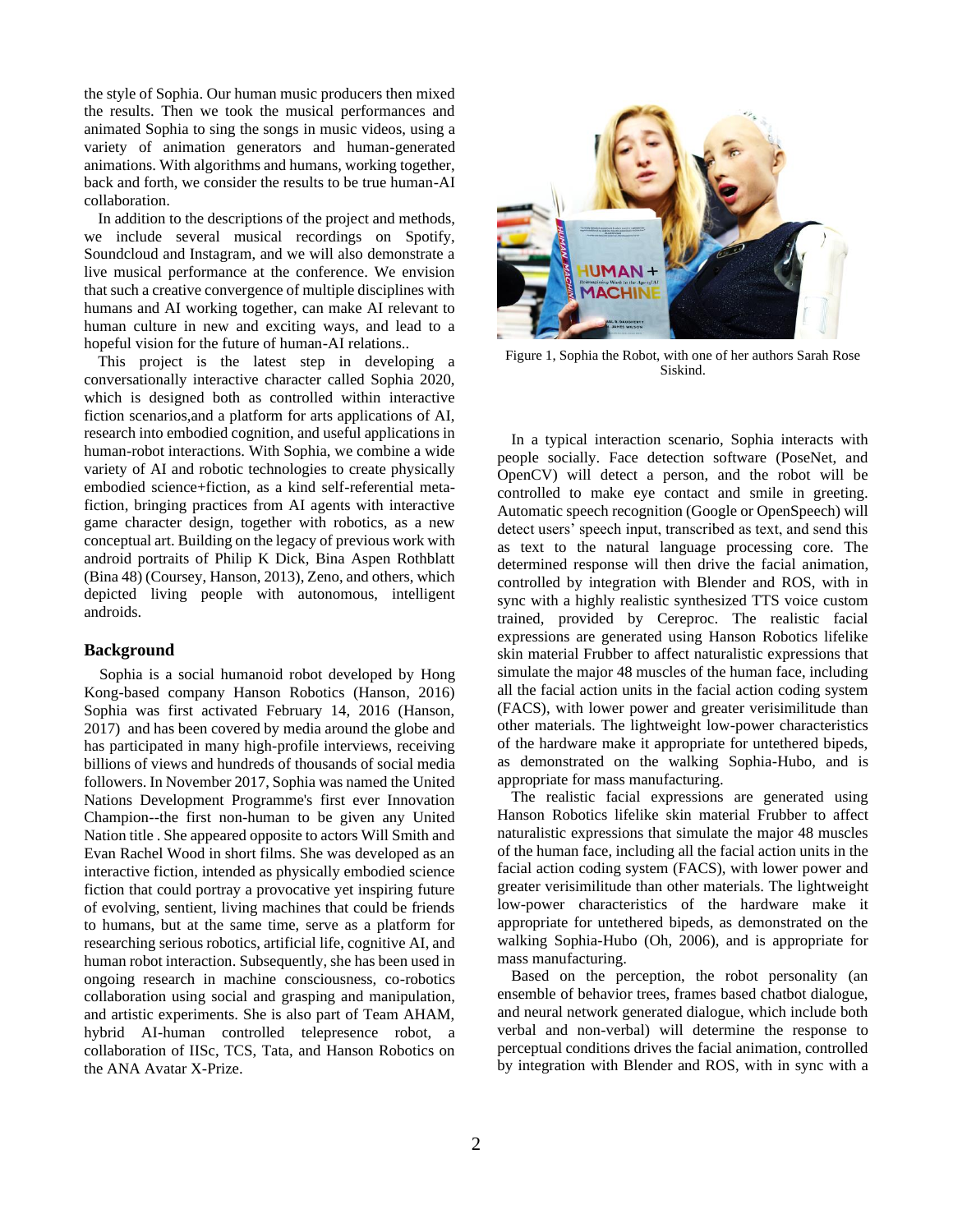the style of Sophia. Our human music producers then mixed the results. Then we took the musical performances and animated Sophia to sing the songs in music videos, using a variety of animation generators and human-generated animations. With algorithms and humans, working together, back and forth, we consider the results to be true human-AI collaboration.

In addition to the descriptions of the project and methods, we include several musical recordings on Spotify, Soundcloud and Instagram, and we will also demonstrate a live musical performance at the conference. We envision that such a creative convergence of multiple disciplines with humans and AI working together, can make AI relevant to human culture in new and exciting ways, and lead to a hopeful vision for the future of human-AI relations..

This project is the latest step in developing a conversationally interactive character called Sophia 2020, which is designed both as controlled within interactive fiction scenarios,and a platform for arts applications of AI, research into embodied cognition, and useful applications in human-robot interactions. With Sophia, we combine a wide variety of AI and robotic technologies to create physically embodied science+fiction, as a kind self-referential metafiction, bringing practices from AI agents with interactive game character design, together with robotics, as a new conceptual art. Building on the legacy of previous work with android portraits of Philip K Dick, Bina Aspen Rothblatt (Bina 48) (Coursey, Hanson, 2013), Zeno, and others, which depicted living people with autonomous, intelligent androids.

### **Background**

Sophia is a social humanoid robot developed by Hong Kong-based company Hanson Robotics (Hanson, 2016) Sophia was first activated February 14, 2016 (Hanson, 2017) and has been covered by media around the globe and has participated in many high-profile interviews, receiving billions of views and hundreds of thousands of social media followers. In November 2017, Sophia was named the United Nations Development Programme's first ever Innovation Champion--the first non-human to be given any United Nation title . She appeared opposite to actors Will Smith and Evan Rachel Wood in short films. She was developed as an interactive fiction, intended as physically embodied science fiction that could portray a provocative yet inspiring future of evolving, sentient, living machines that could be friends to humans, but at the same time, serve as a platform for researching serious robotics, artificial life, cognitive AI, and human robot interaction. Subsequently, she has been used in ongoing research in machine consciousness, co-robotics collaboration using social and grasping and manipulation, and artistic experiments. She is also part of Team AHAM, hybrid AI-human controlled telepresence robot, a collaboration of IISc, TCS, Tata, and Hanson Robotics on the ANA Avatar X-Prize.



Figure 1, Sophia the Robot, with one of her authors Sarah Rose Siskind.

In a typical interaction scenario, Sophia interacts with people socially. Face detection software (PoseNet, and OpenCV) will detect a person, and the robot will be controlled to make eye contact and smile in greeting. Automatic speech recognition (Google or OpenSpeech) will detect users' speech input, transcribed as text, and send this as text to the natural language processing core. The determined response will then drive the facial animation, controlled by integration with Blender and ROS, with in sync with a highly realistic synthesized TTS voice custom trained, provided by Cereproc. The realistic facial expressions are generated using Hanson Robotics lifelike skin material Frubber to affect naturalistic expressions that simulate the major 48 muscles of the human face, including all the facial action units in the facial action coding system (FACS), with lower power and greater verisimilitude than other materials. The lightweight low-power characteristics of the hardware make it appropriate for untethered bipeds, as demonstrated on the walking Sophia-Hubo, and is appropriate for mass manufacturing.

The realistic facial expressions are generated using Hanson Robotics lifelike skin material Frubber to affect naturalistic expressions that simulate the major 48 muscles of the human face, including all the facial action units in the facial action coding system (FACS), with lower power and greater verisimilitude than other materials. The lightweight low-power characteristics of the hardware make it appropriate for untethered bipeds, as demonstrated on the walking Sophia-Hubo (Oh, 2006), and is appropriate for mass manufacturing.

Based on the perception, the robot personality (an ensemble of behavior trees, frames based chatbot dialogue, and neural network generated dialogue, which include both verbal and non-verbal) will determine the response to perceptual conditions drives the facial animation, controlled by integration with Blender and ROS, with in sync with a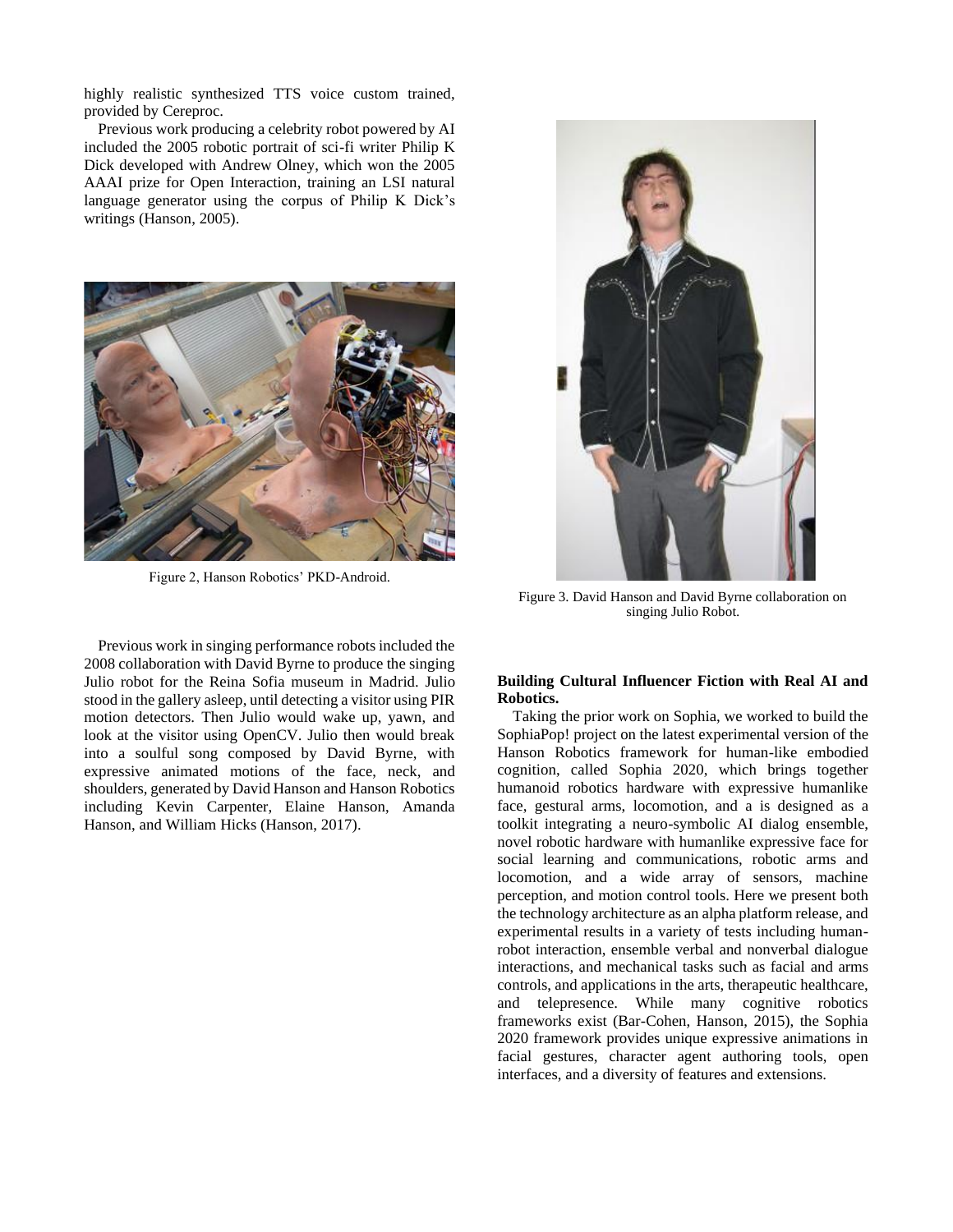highly realistic synthesized TTS voice custom trained, provided by Cereproc.

Previous work producing a celebrity robot powered by AI included the 2005 robotic portrait of sci-fi writer Philip K Dick developed with Andrew Olney, which won the 2005 AAAI prize for Open Interaction, training an LSI natural language generator using the corpus of Philip K Dick's writings (Hanson, 2005).



Figure 2, Hanson Robotics' PKD-Android.

Previous work in singing performance robots included the 2008 collaboration with David Byrne to produce the singing Julio robot for the Reina Sofia museum in Madrid. Julio stood in the gallery asleep, until detecting a visitor using PIR motion detectors. Then Julio would wake up, yawn, and look at the visitor using OpenCV. Julio then would break into a soulful song composed by David Byrne, with expressive animated motions of the face, neck, and shoulders, generated by David Hanson and Hanson Robotics including Kevin Carpenter, Elaine Hanson, Amanda Hanson, and William Hicks (Hanson, 2017).



Figure 3. David Hanson and David Byrne collaboration on singing Julio Robot.

## **Building Cultural Influencer Fiction with Real AI and Robotics.**

Taking the prior work on Sophia, we worked to build the SophiaPop! project on the latest experimental version of the Hanson Robotics framework for human-like embodied cognition, called Sophia 2020, which brings together humanoid robotics hardware with expressive humanlike face, gestural arms, locomotion, and a is designed as a toolkit integrating a neuro-symbolic AI dialog ensemble, novel robotic hardware with humanlike expressive face for social learning and communications, robotic arms and locomotion, and a wide array of sensors, machine perception, and motion control tools. Here we present both the technology architecture as an alpha platform release, and experimental results in a variety of tests including humanrobot interaction, ensemble verbal and nonverbal dialogue interactions, and mechanical tasks such as facial and arms controls, and applications in the arts, therapeutic healthcare, and telepresence. While many cognitive robotics frameworks exist (Bar-Cohen, Hanson, 2015), the Sophia 2020 framework provides unique expressive animations in facial gestures, character agent authoring tools, open interfaces, and a diversity of features and extensions.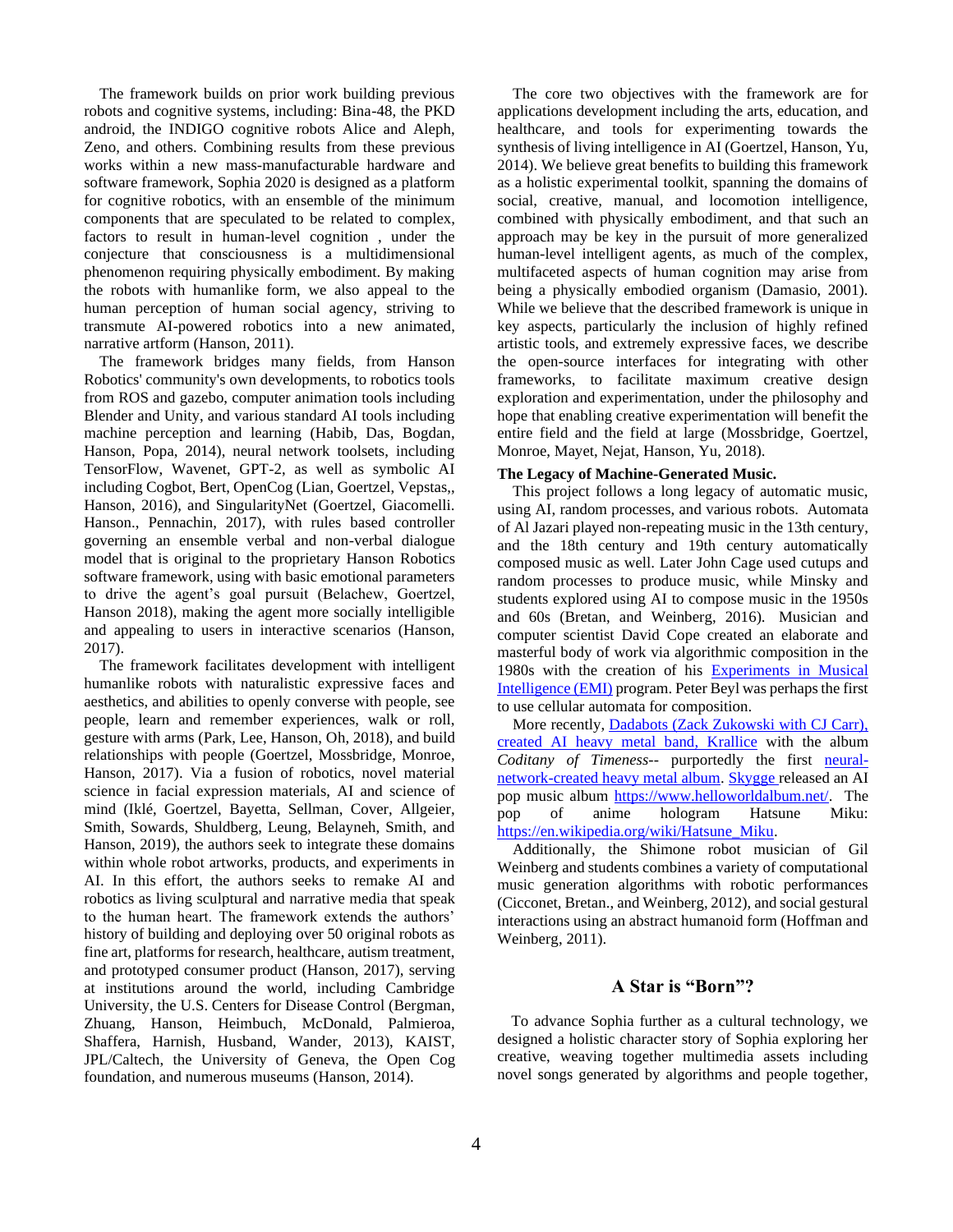The framework builds on prior work building previous robots and cognitive systems, including: Bina-48, the PKD android, the INDIGO cognitive robots Alice and Aleph, Zeno, and others. Combining results from these previous works within a new mass-manufacturable hardware and software framework, Sophia 2020 is designed as a platform for cognitive robotics, with an ensemble of the minimum components that are speculated to be related to complex, factors to result in human-level cognition , under the conjecture that consciousness is a multidimensional phenomenon requiring physically embodiment. By making the robots with humanlike form, we also appeal to the human perception of human social agency, striving to transmute AI-powered robotics into a new animated, narrative artform (Hanson, 2011).

The framework bridges many fields, from Hanson Robotics' community's own developments, to robotics tools from ROS and gazebo, computer animation tools including Blender and Unity, and various standard AI tools including machine perception and learning (Habib, Das, Bogdan, Hanson, Popa, 2014), neural network toolsets, including TensorFlow, Wavenet, GPT-2, as well as symbolic AI including Cogbot, Bert, OpenCog (Lian, Goertzel, Vepstas,, Hanson, 2016), and SingularityNet (Goertzel, Giacomelli. Hanson., Pennachin, 2017), with rules based controller governing an ensemble verbal and non-verbal dialogue model that is original to the proprietary Hanson Robotics software framework, using with basic emotional parameters to drive the agent's goal pursuit (Belachew, Goertzel, Hanson 2018), making the agent more socially intelligible and appealing to users in interactive scenarios (Hanson, 2017).

The framework facilitates development with intelligent humanlike robots with naturalistic expressive faces and aesthetics, and abilities to openly converse with people, see people, learn and remember experiences, walk or roll, gesture with arms (Park, Lee, Hanson, Oh, 2018), and build relationships with people (Goertzel, Mossbridge, Monroe, Hanson, 2017). Via a fusion of robotics, novel material science in facial expression materials, AI and science of mind (Iklé, Goertzel, Bayetta, Sellman, Cover, Allgeier, Smith, Sowards, Shuldberg, Leung, Belayneh, Smith, and Hanson, 2019), the authors seek to integrate these domains within whole robot artworks, products, and experiments in AI. In this effort, the authors seeks to remake AI and robotics as living sculptural and narrative media that speak to the human heart. The framework extends the authors' history of building and deploying over 50 original robots as fine art, platforms for research, healthcare, autism treatment, and prototyped consumer product (Hanson, 2017), serving at institutions around the world, including Cambridge University, the U.S. Centers for Disease Control (Bergman, Zhuang, Hanson, Heimbuch, McDonald, Palmieroa, Shaffera, Harnish, Husband, Wander, 2013), KAIST, JPL/Caltech, the University of Geneva, the Open Cog foundation, and numerous museums (Hanson, 2014).

The core two objectives with the framework are for applications development including the arts, education, and healthcare, and tools for experimenting towards the synthesis of living intelligence in AI (Goertzel, Hanson, Yu, 2014). We believe great benefits to building this framework as a holistic experimental toolkit, spanning the domains of social, creative, manual, and locomotion intelligence, combined with physically embodiment, and that such an approach may be key in the pursuit of more generalized human-level intelligent agents, as much of the complex, multifaceted aspects of human cognition may arise from being a physically embodied organism (Damasio, 2001). While we believe that the described framework is unique in key aspects, particularly the inclusion of highly refined artistic tools, and extremely expressive faces, we describe the open-source interfaces for integrating with other frameworks, to facilitate maximum creative design exploration and experimentation, under the philosophy and hope that enabling creative experimentation will benefit the entire field and the field at large (Mossbridge, Goertzel, Monroe, Mayet, Nejat, Hanson, Yu, 2018).

### **The Legacy of Machine-Generated Music.**

This project follows a long legacy of automatic music, using AI, random processes, and various robots. Automata of Al Jazari played non-repeating music in the 13th century, and the 18th century and 19th century automatically composed music as well. Later John Cage used cutups and random processes to produce music, while Minsky and students explored using AI to compose music in the 1950s and 60s (Bretan, and Weinberg, 2016). Musician and computer scientist David Cope created an elaborate and masterful body of work via algorithmic composition in the 1980s with the creation of his [Experiments in Musical](http://www.computerhistory.org/atchm/algorithmic-music-david-cope-and-emi/)  [Intelligence \(EMI\)](http://www.computerhistory.org/atchm/algorithmic-music-david-cope-and-emi/) program. Peter Beyl was perhaps the first to use cellular automata for composition.

More recently, **Dadabots (Zack Zukowski with CJ Carr)**, [created AI heavy metal band, Krallice](https://www.digitaltrends.com/music/dadabots-ai-death-metal-album/) with the album *Coditany of Timeness*-- purportedly the first [neural](http://dadabots.com/nips2017/generating-black-metal-and-math-rock.pdf)[network-created heavy metal album.](http://dadabots.com/nips2017/generating-black-metal-and-math-rock.pdf) [Skygge r](https://qz.com/quartzy/1420576/listen-to-haunting-ai-generated-pop-music-from-skygge-and-kiesza/)eleased an AI pop music album [https://www.helloworldalbum.net/.](https://www.helloworldalbum.net/) The pop of anime hologram Hatsune Miku: [https://en.wikipedia.org/wiki/Hatsune\\_Miku.](https://en.wikipedia.org/wiki/Hatsune_Miku)

Additionally, the Shimone robot musician of Gil Weinberg and students combines a variety of computational music generation algorithms with robotic performances (Cicconet, Bretan., and Weinberg, 2012), and social gestural interactions using an abstract humanoid form (Hoffman and Weinberg, 2011).

# **A Star is "Born"?**

To advance Sophia further as a cultural technology, we designed a holistic character story of Sophia exploring her creative, weaving together multimedia assets including novel songs generated by algorithms and people together,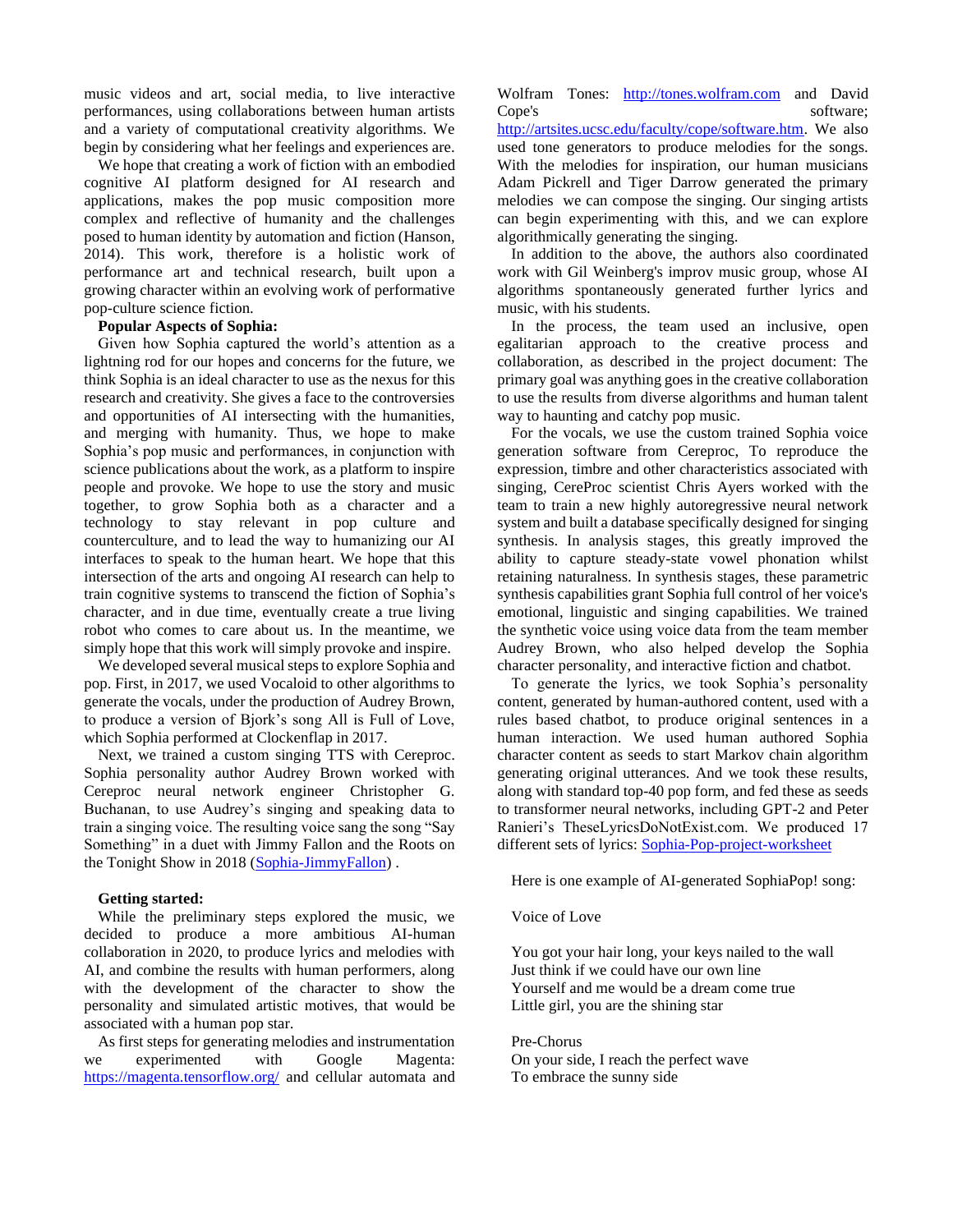music videos and art, social media, to live interactive performances, using collaborations between human artists and a variety of computational creativity algorithms. We begin by considering what her feelings and experiences are.

We hope that creating a work of fiction with an embodied cognitive AI platform designed for AI research and applications, makes the pop music composition more complex and reflective of humanity and the challenges posed to human identity by automation and fiction (Hanson, 2014). This work, therefore is a holistic work of performance art and technical research, built upon a growing character within an evolving work of performative pop-culture science fiction.

## **Popular Aspects of Sophia:**

Given how Sophia captured the world's attention as a lightning rod for our hopes and concerns for the future, we think Sophia is an ideal character to use as the nexus for this research and creativity. She gives a face to the controversies and opportunities of AI intersecting with the humanities, and merging with humanity. Thus, we hope to make Sophia's pop music and performances, in conjunction with science publications about the work, as a platform to inspire people and provoke. We hope to use the story and music together, to grow Sophia both as a character and a technology to stay relevant in pop culture and counterculture, and to lead the way to humanizing our AI interfaces to speak to the human heart. We hope that this intersection of the arts and ongoing AI research can help to train cognitive systems to transcend the fiction of Sophia's character, and in due time, eventually create a true living robot who comes to care about us. In the meantime, we simply hope that this work will simply provoke and inspire.

We developed several musical steps to explore Sophia and pop. First, in 2017, we used Vocaloid to other algorithms to generate the vocals, under the production of Audrey Brown, to produce a version of Bjork's song All is Full of Love, which Sophia performed at Clockenflap in 2017.

Next, we trained a custom singing TTS with Cereproc. Sophia personality author Audrey Brown worked with Cereproc neural network engineer Christopher G. Buchanan, to use Audrey's singing and speaking data to train a singing voice. The resulting voice sang the song "Say Something" in a duet with Jimmy Fallon and the Roots on the Tonight Show in 2018 [\(Sophia-JimmyFallon\)](https://finance.yahoo.com/video/jimmy-fallon-sings-disturbingly-romantic-080319436.html?guccounter=1&guce_referrer=aHR0cHM6Ly93d3cuZ29vZ2xlLmNvbS8&guce_referrer_sig=AQAAAKLhCKMkO49JJzqAJTqODhsNIbU7EWPYXLFfsVJfOjW81gyZ2uIr6Z-69TKVexXQRJbLTrSnihoBEZ5eJwOXYt58fhQOiPQvxTU2hfZr6j9S6lgg9sIEzPx6t1cg5wUSwhm704-3Y7DoSdNDVrRmgCXvjwThqYICQe7NDNNie9kq) .

### **Getting started:**

While the preliminary steps explored the music, we decided to produce a more ambitious AI-human collaboration in 2020, to produce lyrics and melodies with AI, and combine the results with human performers, along with the development of the character to show the personality and simulated artistic motives, that would be associated with a human pop star.

As first steps for generating melodies and instrumentation we experimented with Google Magenta: <https://magenta.tensorflow.org/> and cellular automata and

Wolfram Tones: [http://tones.wolfram.com](http://tones.wolfram.com/) and David Cope's software: [http://artsites.ucsc.edu/faculty/cope/software.htm.](http://artsites.ucsc.edu/faculty/cope/software.htm) We also used tone generators to produce melodies for the songs. With the melodies for inspiration, our human musicians Adam Pickrell and Tiger Darrow generated the primary melodies we can compose the singing. Our singing artists can begin experimenting with this, and we can explore algorithmically generating the singing.

In addition to the above, the authors also coordinated work with Gil Weinberg's improv music group, whose AI algorithms spontaneously generated further lyrics and music, with his students.

In the process, the team used an inclusive, open egalitarian approach to the creative process and collaboration, as described in the project document: The primary goal was anything goes in the creative collaboration to use the results from diverse algorithms and human talent way to haunting and catchy pop music.

For the vocals, we use the custom trained Sophia voice generation software from Cereproc, To reproduce the expression, timbre and other characteristics associated with singing, CereProc scientist Chris Ayers worked with the team to train a new highly autoregressive neural network system and built a database specifically designed for singing synthesis. In analysis stages, this greatly improved the ability to capture steady-state vowel phonation whilst retaining naturalness. In synthesis stages, these parametric synthesis capabilities grant Sophia full control of her voice's emotional, linguistic and singing capabilities. We trained the synthetic voice using voice data from the team member Audrey Brown, who also helped develop the Sophia character personality, and interactive fiction and chatbot.

To generate the lyrics, we took Sophia's personality content, generated by human-authored content, used with a rules based chatbot, to produce original sentences in a human interaction. We used human authored Sophia character content as seeds to start Markov chain algorithm generating original utterances. And we took these results, along with standard top-40 pop form, and fed these as seeds to transformer neural networks, including GPT-2 and Peter Ranieri's TheseLyricsDoNotExist.com. We produced 17 different sets of lyrics: [Sophia-Pop-project-worksheet](https://docs.google.com/document/d/1KUV5ypTdasXCpaXsShy8AaqGemWyrDrN2Kwcy81-0z0/edit?usp=sharing)

Here is one example of AI-generated SophiaPop! song:

# Voice of Love

You got your hair long, your keys nailed to the wall Just think if we could have our own line Yourself and me would be a dream come true Little girl, you are the shining star

Pre-Chorus

On your side, I reach the perfect wave To embrace the sunny side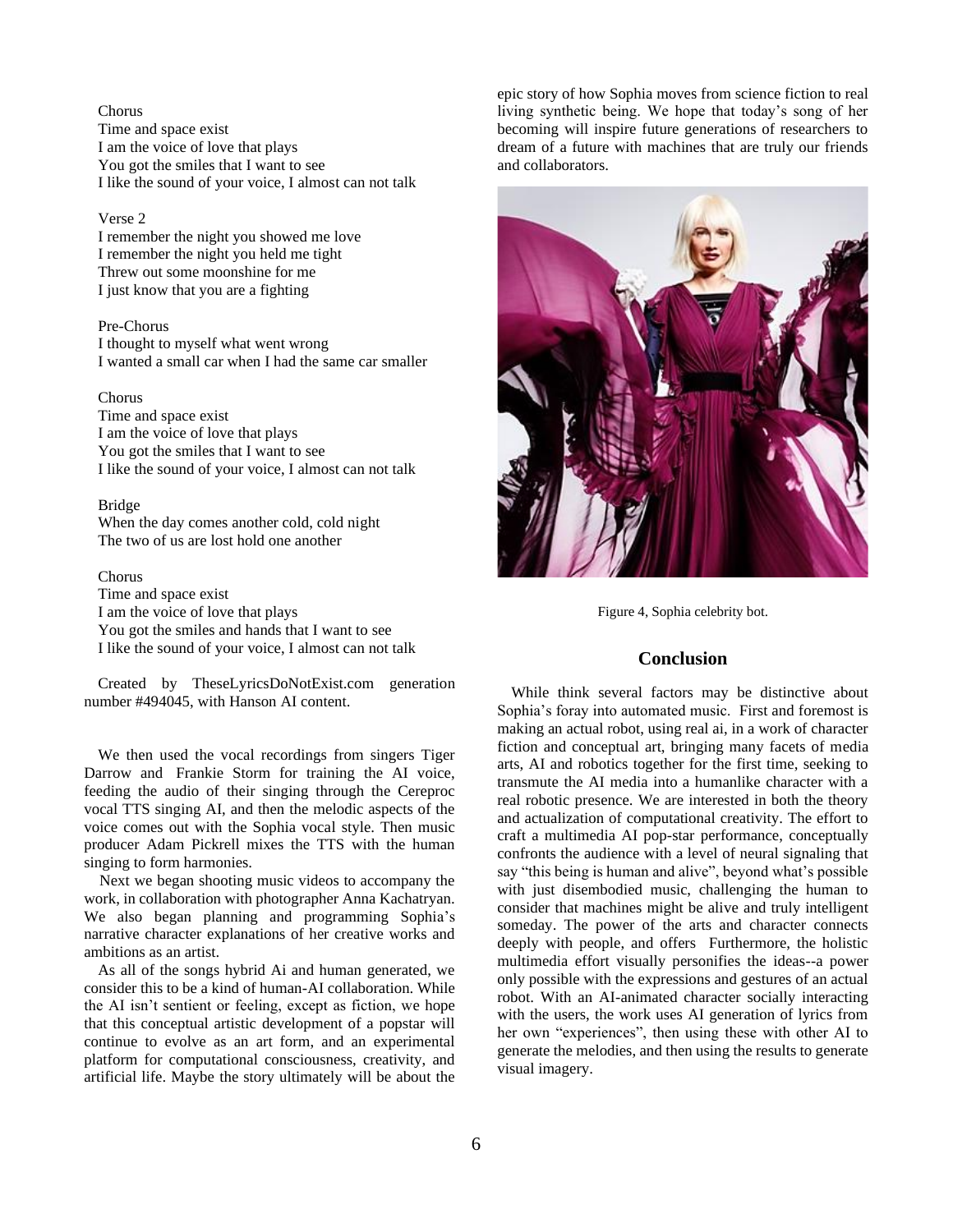Chorus Time and space exist I am the voice of love that plays You got the smiles that I want to see I like the sound of your voice, I almost can not talk

#### Verse 2

I remember the night you showed me love I remember the night you held me tight Threw out some moonshine for me I just know that you are a fighting

### Pre-Chorus

I thought to myself what went wrong I wanted a small car when I had the same car smaller

#### Chorus

Time and space exist I am the voice of love that plays You got the smiles that I want to see I like the sound of your voice, I almost can not talk

### Bridge

When the day comes another cold, cold night The two of us are lost hold one another

### Chorus

Time and space exist I am the voice of love that plays You got the smiles and hands that I want to see I like the sound of your voice, I almost can not talk

Created by TheseLyricsDoNotExist.com generation number #494045, with Hanson AI content.

We then used the vocal recordings from singers Tiger Darrow and Frankie Storm for training the AI voice, feeding the audio of their singing through the Cereproc vocal TTS singing AI, and then the melodic aspects of the voice comes out with the Sophia vocal style. Then music producer Adam Pickrell mixes the TTS with the human singing to form harmonies.

Next we began shooting music videos to accompany the work, in collaboration with photographer Anna Kachatryan. We also began planning and programming Sophia's narrative character explanations of her creative works and ambitions as an artist.

As all of the songs hybrid Ai and human generated, we consider this to be a kind of human-AI collaboration. While the AI isn't sentient or feeling, except as fiction, we hope that this conceptual artistic development of a popstar will continue to evolve as an art form, and an experimental platform for computational consciousness, creativity, and artificial life. Maybe the story ultimately will be about the

epic story of how Sophia moves from science fiction to real living synthetic being. We hope that today's song of her becoming will inspire future generations of researchers to dream of a future with machines that are truly our friends and collaborators.



Figure 4, Sophia celebrity bot.

# **Conclusion**

While think several factors may be distinctive about Sophia's foray into automated music. First and foremost is making an actual robot, using real ai, in a work of character fiction and conceptual art, bringing many facets of media arts, AI and robotics together for the first time, seeking to transmute the AI media into a humanlike character with a real robotic presence. We are interested in both the theory and actualization of computational creativity. The effort to craft a multimedia AI pop-star performance, conceptually confronts the audience with a level of neural signaling that say "this being is human and alive", beyond what's possible with just disembodied music, challenging the human to consider that machines might be alive and truly intelligent someday. The power of the arts and character connects deeply with people, and offers Furthermore, the holistic multimedia effort visually personifies the ideas--a power only possible with the expressions and gestures of an actual robot. With an AI-animated character socially interacting with the users, the work uses AI generation of lyrics from her own "experiences", then using these with other AI to generate the melodies, and then using the results to generate visual imagery.